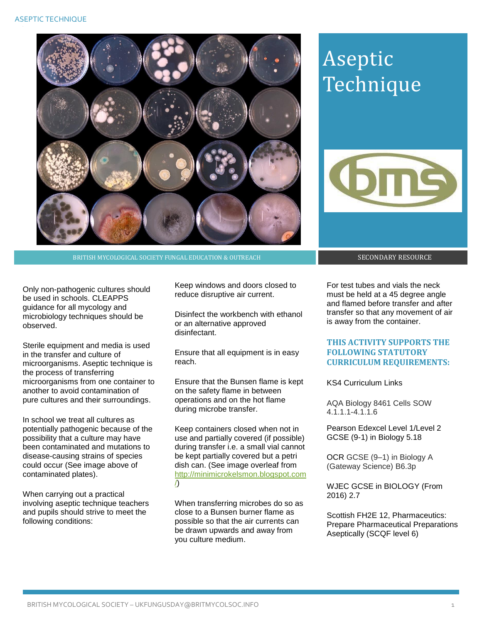

BRITISH MYCOLOGICAL SOCIETY FUNGAL EDUCATION & OUTREACH SECONDARY RESOURCE

Only non-pathogenic cultures should be used in schools. CLEAPPS guidance for all mycology and microbiology techniques should be observed.

Sterile equipment and media is used in the transfer and culture of microorganisms. Aseptic technique is the process of transferring microorganisms from one container to another to avoid contamination of pure cultures and their surroundings.

In school we treat all cultures as potentially pathogenic because of the possibility that a culture may have been contaminated and mutations to disease-causing strains of species could occur (See image above of contaminated plates).

When carrying out a practical involving aseptic technique teachers and pupils should strive to meet the following conditions:

Keep windows and doors closed to reduce disruptive air current.

Disinfect the workbench with ethanol or an alternative approved disinfectant.

Ensure that all equipment is in easy reach.

Ensure that the Bunsen flame is kept on the safety flame in between operations and on the hot flame during microbe transfer.

Keep containers closed when not in use and partially covered (if possible) during transfer i.e. a small vial cannot be kept partially covered but a petri dish can. (See image overleaf from [http://minimicrokelsmon.blogspot.com](http://minimicrokelsmon.blogspot.com/) [/\)](http://minimicrokelsmon.blogspot.com/)

When transferring microbes do so as close to a Bunsen burner flame as possible so that the air currents can be drawn upwards and away from you culture medium.

## Aseptic Technique



For test tubes and vials the neck must be held at a 45 degree angle and flamed before transfer and after transfer so that any movement of air is away from the container.

## **THIS ACTIVITY SUPPORTS THE FOLLOWING STATUTORY CURRICULUM REQUIREMENTS:**

KS4 Curriculum Links

AQA Biology 8461 Cells SOW 4.1.1.1-4.1.1.6

Pearson Edexcel Level 1/Level 2 GCSE (9-1) in Biology 5.18

OCR GCSE (9–1) in Biology A (Gateway Science) B6.3p

WJEC GCSE in BIOLOGY (From 2016) 2.7

Scottish FH2E 12, Pharmaceutics: Prepare Pharmaceutical Preparations Aseptically (SCQF level 6)